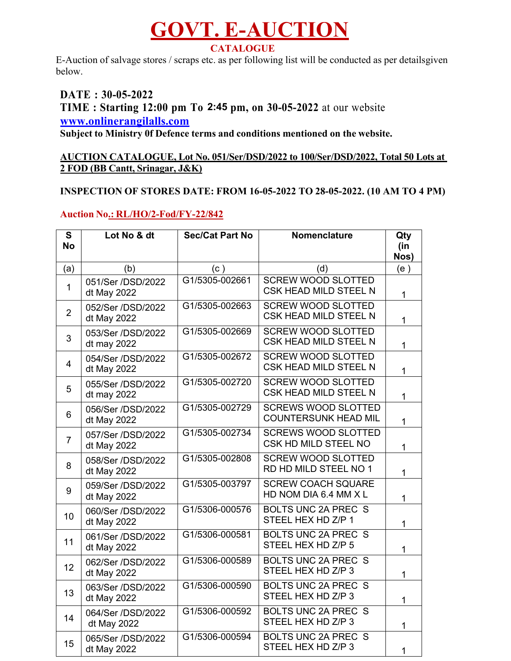# **GOVT. E-AUCTION CATALOGUE**

E-Auction of salvage stores / scraps etc. as per following list will be conducted as per detailsgiven below.

# **DATE : 30-05-2022 TIME : Starting 12:00 pm To 3:15 pm, on 30-05-2022** at our website **2:45www.onlinerangilalls.com**

**Subject to Ministry 0f Defence terms and conditions mentioned on the website.**

#### **AUCTION CATALOGUE, Lot No. 051/Ser/DSD/2022 to 100/Ser/DSD/2022, Total 50 Lots at 2 FOD (BB Cantt, Srinagar, J&K)**

### **INSPECTION OF STORES DATE: FROM 16-05-2022 TO 28-05-2022. (10 AM TO 4 PM)**

## **Auction No.: RL/HO/2-Fod/FY-22/842**

| $\mathbf{s}$<br><b>No</b> | Lot No & dt                      | <b>Sec/Cat Part No</b> | <b>Nomenclature</b>                                       | Qty<br>(in<br>Nos) |
|---------------------------|----------------------------------|------------------------|-----------------------------------------------------------|--------------------|
| (a)                       | (b)                              | (c)                    | (d)                                                       | (e)                |
| $\mathbf{1}$              | 051/Ser /DSD/2022<br>dt May 2022 | G1/5305-002661         | <b>SCREW WOOD SLOTTED</b><br>CSK HEAD MILD STEEL N        | $\mathbf{1}$       |
| $\overline{2}$            | 052/Ser /DSD/2022<br>dt May 2022 | G1/5305-002663         | <b>SCREW WOOD SLOTTED</b><br>CSK HEAD MILD STEEL N        | $\mathbf{1}$       |
| 3                         | 053/Ser /DSD/2022<br>dt may 2022 | G1/5305-002669         | <b>SCREW WOOD SLOTTED</b><br>CSK HEAD MILD STEEL N        | $\mathbf{1}$       |
| $\overline{4}$            | 054/Ser /DSD/2022<br>dt May 2022 | G1/5305-002672         | <b>SCREW WOOD SLOTTED</b><br>CSK HEAD MILD STEEL N        | $\mathbf{1}$       |
| 5                         | 055/Ser /DSD/2022<br>dt may 2022 | G1/5305-002720         | <b>SCREW WOOD SLOTTED</b><br>CSK HEAD MILD STEEL N        | $\mathbf{1}$       |
| 6                         | 056/Ser /DSD/2022<br>dt May 2022 | G1/5305-002729         | <b>SCREWS WOOD SLOTTED</b><br><b>COUNTERSUNK HEAD MIL</b> | $\mathbf{1}$       |
| $\overline{7}$            | 057/Ser /DSD/2022<br>dt May 2022 | G1/5305-002734         | <b>SCREWS WOOD SLOTTED</b><br>CSK HD MILD STEEL NO        | $\mathbf{1}$       |
| 8                         | 058/Ser /DSD/2022<br>dt May 2022 | G1/5305-002808         | <b>SCREW WOOD SLOTTED</b><br>RD HD MILD STEEL NO 1        | $\mathbf{1}$       |
| 9                         | 059/Ser /DSD/2022<br>dt May 2022 | G1/5305-003797         | <b>SCREW COACH SQUARE</b><br>HD NOM DIA 6.4 MM X L        | $\mathbf{1}$       |
| 10                        | 060/Ser /DSD/2022<br>dt May 2022 | G1/5306-000576         | <b>BOLTS UNC 2A PREC S</b><br>STEEL HEX HD Z/P 1          | $\mathbf{1}$       |
| 11                        | 061/Ser /DSD/2022<br>dt May 2022 | G1/5306-000581         | <b>BOLTS UNC 2A PREC S</b><br>STEEL HEX HD Z/P 5          | 1                  |
| 12                        | 062/Ser /DSD/2022<br>dt May 2022 | G1/5306-000589         | BOLTS UNC 2A PREC S<br>STEEL HEX HD Z/P 3                 | $\mathbf{1}$       |
| 13                        | 063/Ser /DSD/2022<br>dt May 2022 | G1/5306-000590         | <b>BOLTS UNC 2A PREC S</b><br>STEEL HEX HD Z/P 3          | $\mathbf 1$        |
| 14                        | 064/Ser /DSD/2022<br>dt May 2022 | G1/5306-000592         | <b>BOLTS UNC 2A PREC S</b><br>STEEL HEX HD Z/P 3          | $\mathbf{1}$       |
| 15                        | 065/Ser /DSD/2022<br>dt May 2022 | G1/5306-000594         | <b>BOLTS UNC 2A PREC S</b><br>STEEL HEX HD Z/P 3          | $\mathbf{1}$       |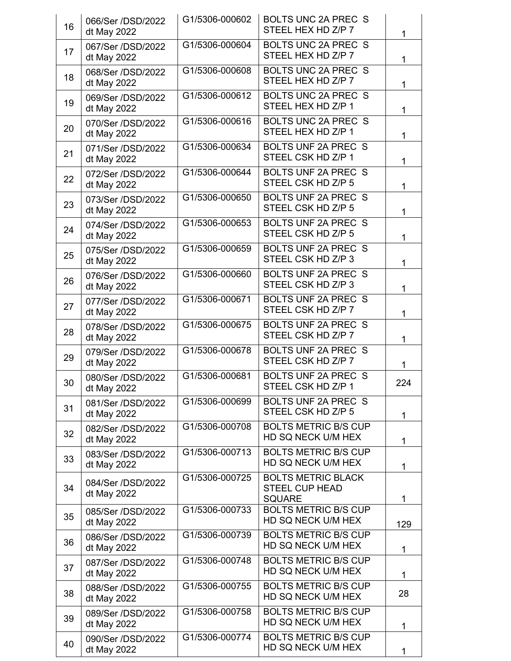| 16 | 066/Ser /DSD/2022<br>dt May 2022 | G1/5306-000602 | BOLTS UNC 2A PREC S<br>STEEL HEX HD Z/P 7                           | 1   |
|----|----------------------------------|----------------|---------------------------------------------------------------------|-----|
| 17 | 067/Ser /DSD/2022<br>dt May 2022 | G1/5306-000604 | BOLTS UNC 2A PREC S<br>STEEL HEX HD Z/P 7                           | 1   |
| 18 | 068/Ser /DSD/2022<br>dt May 2022 | G1/5306-000608 | <b>BOLTS UNC 2A PREC S</b><br>STEEL HEX HD Z/P 7                    | 1   |
| 19 | 069/Ser /DSD/2022<br>dt May 2022 | G1/5306-000612 | BOLTS UNC 2A PREC S<br>STEEL HEX HD Z/P 1                           | 1   |
| 20 | 070/Ser /DSD/2022<br>dt May 2022 | G1/5306-000616 | <b>BOLTS UNC 2A PREC S</b><br>STEEL HEX HD Z/P 1                    | 1   |
| 21 | 071/Ser /DSD/2022<br>dt May 2022 | G1/5306-000634 | BOLTS UNF 2A PREC S<br>STEEL CSK HD Z/P 1                           | 1   |
| 22 | 072/Ser /DSD/2022<br>dt May 2022 | G1/5306-000644 | BOLTS UNF 2A PREC S<br>STEEL CSK HD Z/P 5                           | 1   |
| 23 | 073/Ser /DSD/2022<br>dt May 2022 | G1/5306-000650 | BOLTS UNF 2A PREC S<br>STEEL CSK HD Z/P 5                           | 1   |
| 24 | 074/Ser /DSD/2022<br>dt May 2022 | G1/5306-000653 | <b>BOLTS UNF 2A PREC S</b><br>STEEL CSK HD Z/P 5                    | 1   |
| 25 | 075/Ser /DSD/2022<br>dt May 2022 | G1/5306-000659 | <b>BOLTS UNF 2A PREC S</b><br>STEEL CSK HD Z/P 3                    | 1   |
| 26 | 076/Ser /DSD/2022<br>dt May 2022 | G1/5306-000660 | BOLTS UNF 2A PREC S<br>STEEL CSK HD Z/P 3                           | 1   |
| 27 | 077/Ser /DSD/2022<br>dt May 2022 | G1/5306-000671 | BOLTS UNF 2A PREC S<br>STEEL CSK HD Z/P 7                           | 1   |
| 28 | 078/Ser /DSD/2022<br>dt May 2022 | G1/5306-000675 | BOLTS UNF 2A PREC S<br>STEEL CSK HD Z/P 7                           | 1   |
| 29 | 079/Ser /DSD/2022<br>dt May 2022 | G1/5306-000678 | <b>BOLTS UNF 2A PREC S</b><br>STEEL CSK HD Z/P 7                    | 1   |
| 30 | 080/Ser /DSD/2022<br>dt May 2022 | G1/5306-000681 | BOLTS UNF 2A PREC S<br>STEEL CSK HD Z/P 1                           | 224 |
| 31 | 081/Ser /DSD/2022<br>dt May 2022 | G1/5306-000699 | BOLTS UNF 2A PREC S<br>STEEL CSK HD Z/P 5                           | 1   |
| 32 | 082/Ser /DSD/2022<br>dt May 2022 | G1/5306-000708 | <b>BOLTS METRIC B/S CUP</b><br>HD SQ NECK U/M HEX                   | 1   |
| 33 | 083/Ser /DSD/2022<br>dt May 2022 | G1/5306-000713 | <b>BOLTS METRIC B/S CUP</b><br>HD SQ NECK U/M HEX                   | 1   |
| 34 | 084/Ser /DSD/2022<br>dt May 2022 | G1/5306-000725 | <b>BOLTS METRIC BLACK</b><br><b>STEEL CUP HEAD</b><br><b>SQUARE</b> | 1   |
| 35 | 085/Ser /DSD/2022<br>dt May 2022 | G1/5306-000733 | <b>BOLTS METRIC B/S CUP</b><br>HD SQ NECK U/M HEX                   | 129 |
| 36 | 086/Ser /DSD/2022<br>dt May 2022 | G1/5306-000739 | <b>BOLTS METRIC B/S CUP</b><br>HD SQ NECK U/M HEX                   | 1   |
| 37 | 087/Ser /DSD/2022<br>dt May 2022 | G1/5306-000748 | <b>BOLTS METRIC B/S CUP</b><br>HD SQ NECK U/M HEX                   | 1   |
| 38 | 088/Ser /DSD/2022<br>dt May 2022 | G1/5306-000755 | <b>BOLTS METRIC B/S CUP</b><br>HD SQ NECK U/M HEX                   | 28  |
| 39 | 089/Ser /DSD/2022<br>dt May 2022 | G1/5306-000758 | <b>BOLTS METRIC B/S CUP</b><br>HD SQ NECK U/M HEX                   | 1   |
| 40 | 090/Ser /DSD/2022<br>dt May 2022 | G1/5306-000774 | <b>BOLTS METRIC B/S CUP</b><br>HD SQ NECK U/M HEX                   | 1   |